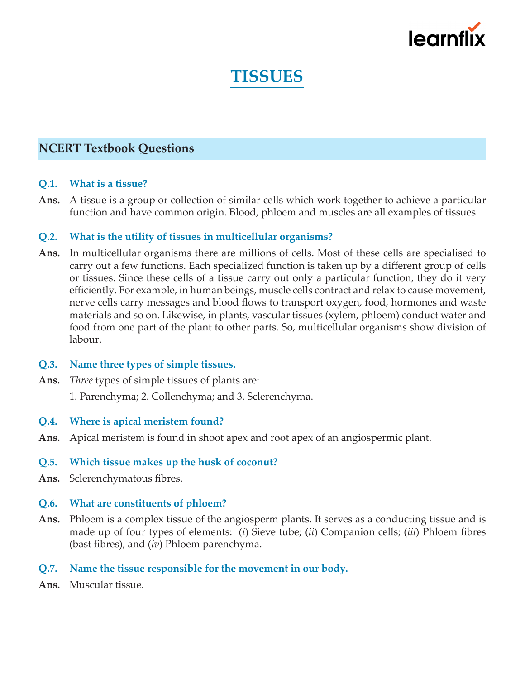

# **TISSUES**

# **NCERT Textbook Questions**

#### **Q.1. What is a tissue?**

**Ans.** A tissue is a group or collection of similar cells which work together to achieve a particular function and have common origin. Blood, phloem and muscles are all examples of tissues.

#### **Q.2. What is the utility of tissues in multicellular organisms?**

- **Ans.** In multicellular organisms there are millions of cells. Most of these cells are specialised to carry out a few functions. Each specialized function is taken up by a different group of cells or tissues. Since these cells of a tissue carry out only a particular function, they do it very efficiently. For example, in human beings, muscle cells contract and relax to cause movement, nerve cells carry messages and blood flows to transport oxygen, food, hormones and waste materials and so on. Likewise, in plants, vascular tissues (xylem, phloem) conduct water and food from one part of the plant to other parts. So, multicellular organisms show division of labour.
- **Q.3. Name three types of simple tissues.**
- **Ans.** *Three* types of simple tissues of plants are:

1. Parenchyma; 2. Collenchyma; and 3. Sclerenchyma.

- **Q.4. Where is apical meristem found?**
- **Ans.** Apical meristem is found in shoot apex and root apex of an angiospermic plant.

# **Q.5. Which tissue makes up the husk of coconut?**

**Ans.** Sclerenchymatous fibres.

#### **Q.6. What are constituents of phloem?**

- **Ans.** Phloem is a complex tissue of the angiosperm plants. It serves as a conducting tissue and is made up of four types of elements: (*i*) Sieve tube; (*ii*) Companion cells; (*iii*) Phloem fibres (bast fibres), and (*iv*) Phloem parenchyma.
- **Q.7. Name the tissue responsible for the movement in our body.**
- **Ans.** Muscular tissue.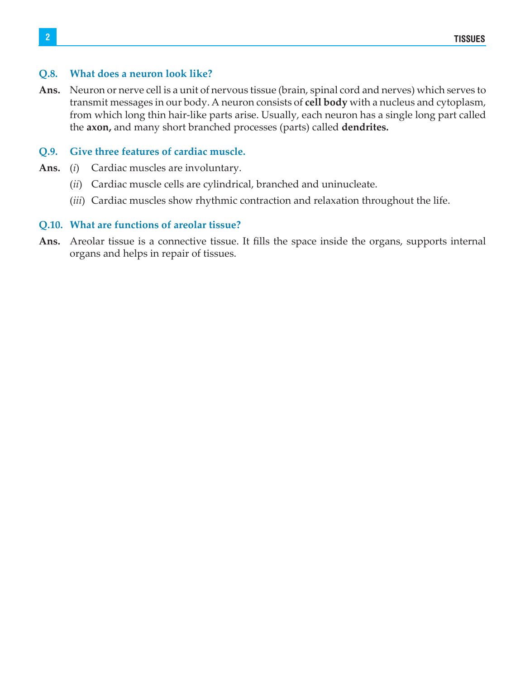# **Q.8. What does a neuron look like?**

**Ans.** Neuron or nerve cell is a unit of nervous tissue (brain, spinal cord and nerves) which serves to transmit messages in our body. A neuron consists of **cell body** with a nucleus and cytoplasm, from which long thin hair-like parts arise. Usually, each neuron has a single long part called the **axon,** and many short branched processes (parts) called **dendrites.**

# **Q.9. Give three features of cardiac muscle.**

- **Ans.** (*i*) Cardiac muscles are involuntary.
	- (*ii*) Cardiac muscle cells are cylindrical, branched and uninucleate.
	- (*iii*) Cardiac muscles show rhythmic contraction and relaxation throughout the life.

# **Q.10. What are functions of areolar tissue?**

**Ans.** Areolar tissue is a connective tissue. It fills the space inside the organs, supports internal organs and helps in repair of tissues.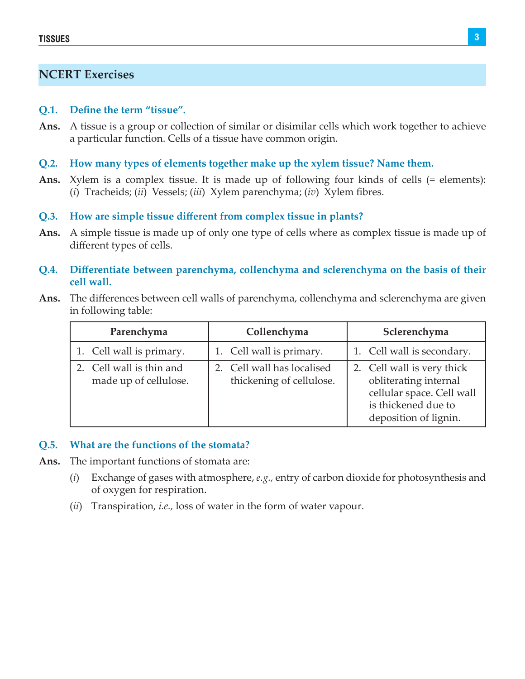# **NCERT Exercises**

#### **Q.1. Define the term "tissue".**

- **Ans.** A tissue is a group or collection of similar or disimilar cells which work together to achieve a particular function. Cells of a tissue have common origin.
- **Q.2. How many types of elements together make up the xylem tissue? Name them.**
- **Ans.** Xylem is a complex tissue. It is made up of following four kinds of cells (= elements): (*i*) Tracheids; (*ii*) Vessels; (*iii*) Xylem parenchyma; (*iv*) Xylem fibres.

#### **Q.3. How are simple tissue different from complex tissue in plants?**

**Ans.** A simple tissue is made up of only one type of cells where as complex tissue is made up of different types of cells.

## **Q.4. Differentiate between parenchyma, collenchyma and sclerenchyma on the basis of their cell wall.**

**Ans.** The differences between cell walls of parenchyma, collenchyma and sclerenchyma are given in following table:

| Parenchyma                                        | Collenchyma                                            | Sclerenchyma                                                                                                                     |
|---------------------------------------------------|--------------------------------------------------------|----------------------------------------------------------------------------------------------------------------------------------|
| 1. Cell wall is primary.                          | 1. Cell wall is primary.                               | 1. Cell wall is secondary.                                                                                                       |
| 2. Cell wall is thin and<br>made up of cellulose. | 2. Cell wall has localised<br>thickening of cellulose. | 2. Cell wall is very thick<br>obliterating internal<br>cellular space. Cell wall<br>is thickened due to<br>deposition of lignin. |

#### **Q.5. What are the functions of the stomata?**

- **Ans.** The important functions of stomata are:
	- (*i*) Exchange of gases with atmosphere, *e.g.,* entry of carbon dioxide for photosynthesis and of oxygen for respiration.
	- (*ii*) Transpiration, *i.e.,* loss of water in the form of water vapour.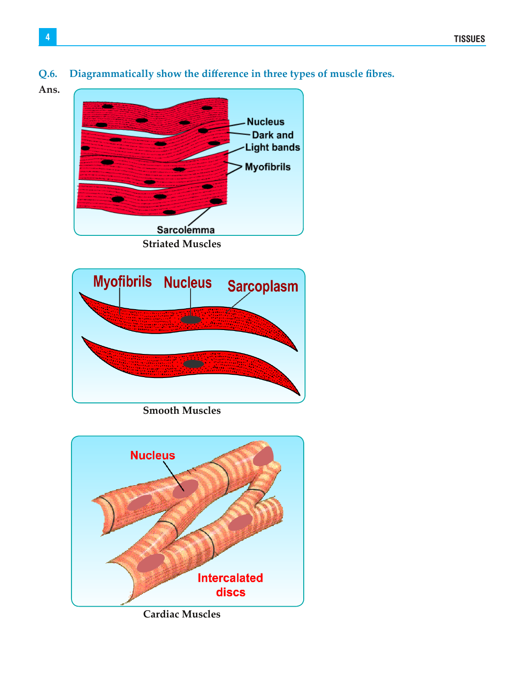# **Q.6. Diagrammatically show the difference in three types of muscle fibres.**

**Ans.** 





**Smooth Muscles**



**Cardiac Muscles**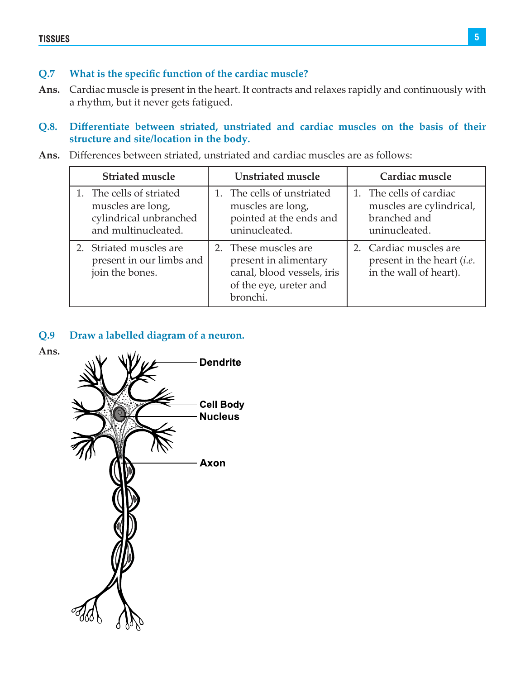# **Q.7 What is the specific function of the cardiac muscle?**

**Ans.** Cardiac muscle is present in the heart. It contracts and relaxes rapidly and continuously with a rhythm, but it never gets fatigued.

# **Q.8. Differentiate between striated, unstriated and cardiac muscles on the basis of their structure and site/location in the body.**

**Ans.** Differences between striated, unstriated and cardiac muscles are as follows:

| <b>Striated muscle</b>                                                                         | Unstriated muscle                                                                                                 | Cardiac muscle                                                                          |
|------------------------------------------------------------------------------------------------|-------------------------------------------------------------------------------------------------------------------|-----------------------------------------------------------------------------------------|
| 1. The cells of striated<br>muscles are long,<br>cylindrical unbranched<br>and multinucleated. | 1. The cells of unstriated<br>muscles are long,<br>pointed at the ends and<br>uninucleated.                       | 1. The cells of cardiac<br>muscles are cylindrical,<br>branched and<br>uninucleated.    |
| 2. Striated muscles are<br>present in our limbs and<br>join the bones.                         | 2. These muscles are<br>present in alimentary<br>canal, blood vessels, iris<br>of the eye, ureter and<br>bronchi. | 2. Cardiac muscles are<br>present in the heart <i>(i.e.</i> )<br>in the wall of heart). |

# **Q.9 Draw a labelled diagram of a neuron.**



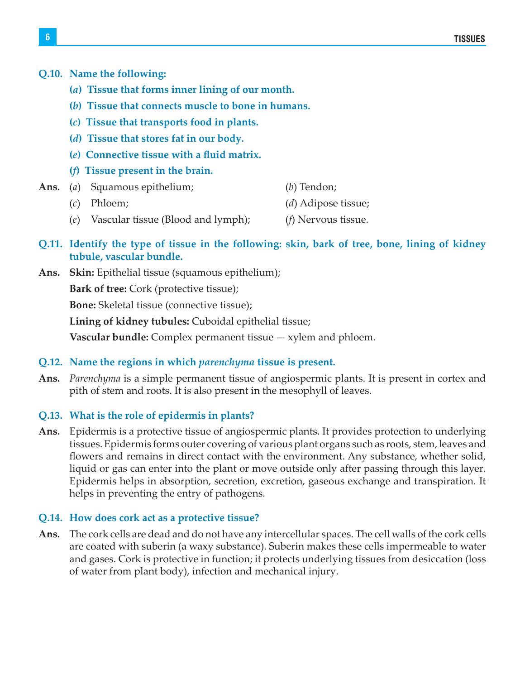# **Q.10. Name the following:**

- **(***a***) Tissue that forms inner lining of our month.**
- **(***b***) Tissue that connects muscle to bone in humans.**
- **(***c***) Tissue that transports food in plants.**
- **(***d***) Tissue that stores fat in our body.**
- **(***e***) Connective tissue with a fluid matrix.**
- **(***f***) Tissue present in the brain.**
- **Ans.** (*a*) Squamous epithelium; (*b*) Tendon;
	- (*c*) Phloem; (*d*) Adipose tissue;
	- (*e*) Vascular tissue (Blood and lymph); (*f*) Nervous tissue.
- **Q.11. Identify the type of tissue in the following: skin, bark of tree, bone, lining of kidney tubule, vascular bundle.**
- **Ans. Skin:** Epithelial tissue (squamous epithelium);

**Bark of tree:** Cork (protective tissue);

**Bone:** Skeletal tissue (connective tissue);

**Lining of kidney tubules:** Cuboidal epithelial tissue;

**Vascular bundle:** Complex permanent tissue — xylem and phloem.

# **Q.12. Name the regions in which** *parenchyma* **tissue is present.**

**Ans.** *Parenchyma* is a simple permanent tissue of angiospermic plants. It is present in cortex and pith of stem and roots. It is also present in the mesophyll of leaves.

# **Q.13. What is the role of epidermis in plants?**

**Ans.** Epidermis is a protective tissue of angiospermic plants. It provides protection to underlying tissues. Epidermis forms outer covering of various plant organs such as roots, stem, leaves and flowers and remains in direct contact with the environment. Any substance, whether solid, liquid or gas can enter into the plant or move outside only after passing through this layer. Epidermis helps in absorption, secretion, excretion, gaseous exchange and transpiration. It helps in preventing the entry of pathogens.

# **Q.14. How does cork act as a protective tissue?**

**Ans.** The cork cells are dead and do not have any intercellular spaces. The cell walls of the cork cells are coated with suberin (a waxy substance). Suberin makes these cells impermeable to water and gases. Cork is protective in function; it protects underlying tissues from desiccation (loss of water from plant body), infection and mechanical injury.